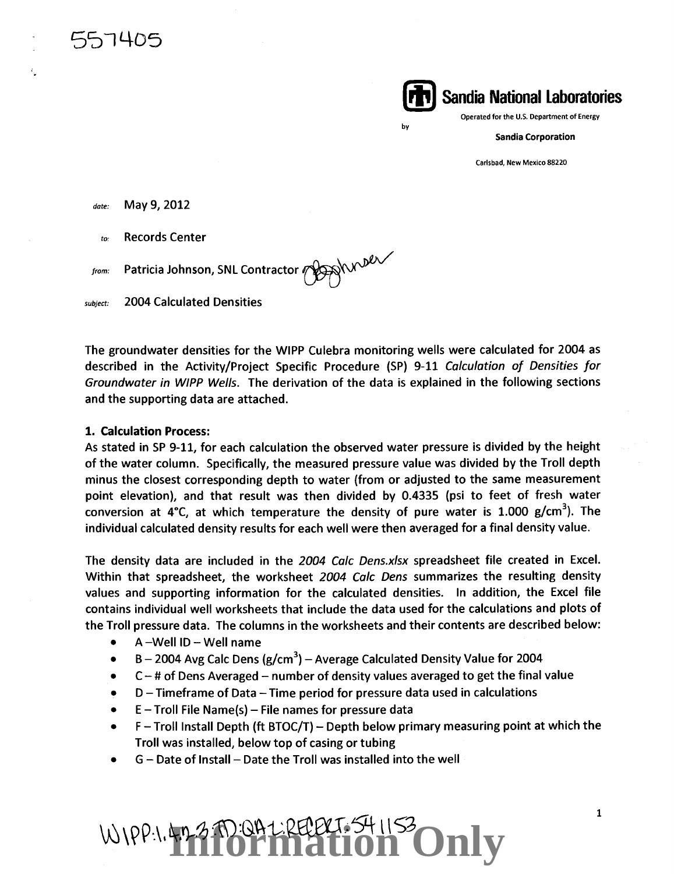

Operated for the U.S. Department of Energy

Sandia Corporation

Carlsbad, New Mexico 88220

*date:* May 9, 2012

5~1405

557405

*ta:* Records Center

*tromc* Patricia Johnson, SNL Contractor ~~

subject: 2004 Calculated Densities

The groundwater densities for the WIPP Culebra monitoring wells were calculated for 2004 as described in the Activity/Project Specific Procedure {SP) 9-11 Calculation of Densities for Groundwater in WIPP Wells. The derivation of the data is explained in the following sections and the supporting data are attached.

by

### 1. Calculation Process:

As stated in SP 9-11, for each calculation the observed water pressure is divided by the height of the water column. Specifically, the measured pressure value was divided by the Troll depth minus the closest corresponding depth to water (from or adjusted to the same measurement point elevation), and that result was then divided by 0.4335 (psi to feet of fresh water conversion at 4°C, at which temperature the density of pure water is 1.000 g/cm<sup>3</sup>). The individual calculated density results for each well were then averaged for a final density value.

The density data are included in the 2004 Calc Dens.xlsx spreadsheet file created in Excel. Within that spreadsheet, the worksheet 2004 Calc Dens summarizes the resulting density values and supporting information for the calculated densities. In addition, the Excel file contains individual well worksheets that include the data used for the calculations and plots of the Troll pressure data. The columns in the worksheets and their contents are described below:

- A -Well ID- Well name
- B 2004 Avg Calc Dens (g/cm<sup>3</sup>) Average Calculated Density Value for 2004
- $C -$  # of Dens Averaged number of density values averaged to get the final value
- D- Timeframe of Data -Time period for pressure data used in calculations
- $E$  Troll File Name(s) File names for pressure data
- $\bullet$  F Troll Install Depth (ft BTOC/T) Depth below primary measuring point at which the Troll was installed, below top of casing or tubing
- G Date of Install -Date the Troll was installed into the well

WIPP: 1.4.7-2 TO: QA L: REPRIT. 54 1153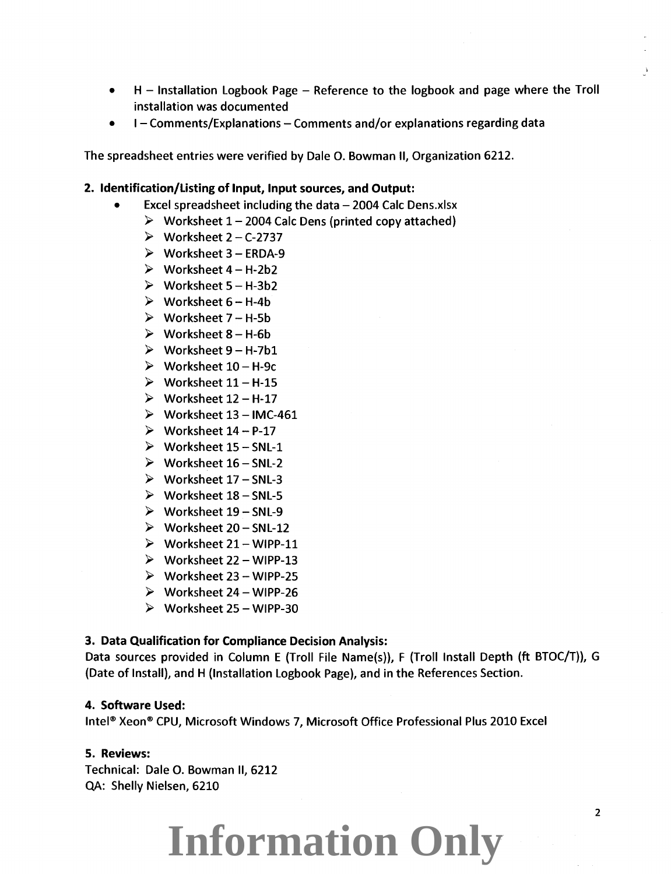- H Installation Logbook Page Reference to the logbook and page where the Troll installation was documented
- I Comments/Explanations Comments and/or explanations regarding data

The spreadsheet entries were verified by Dale 0. Bowman II, Organization 6212.

### 2. Identification/Listing of Input, Input sources, and Output:

- Excel spreadsheet including the data  $-$  2004 Calc Dens.xlsx
	- $\triangleright$  Worksheet 1 2004 Calc Dens (printed copy attached)
	- $\triangleright$  Worksheet 2 C-2737
	- $\triangleright$  Worksheet 3 ERDA-9
	- $\triangleright$  Worksheet 4 H-2b2
	- $\triangleright$  Worksheet 5 H-3b2
	- $\triangleright$  Worksheet 6 H-4b
	- $\triangleright$  Worksheet 7 H-5b
	- $\triangleright$  Worksheet 8 H-6b
	- $\triangleright$  Worksheet 9 H-7b1
	- $\triangleright$  Worksheet 10 H-9c
	- $\triangleright$  Worksheet 11 H-15
	- $\triangleright$  Worksheet 12 H-17
	- $\triangleright$  Worksheet 13 IMC-461
	- $\triangleright$  Worksheet 14 P-17
	- $\triangleright$  Worksheet 15 SNL-1
	- $\triangleright$  Worksheet 16 SNL-2
	- $\triangleright$  Worksheet 17 SNL-3
	- $\triangleright$  Worksheet 18 SNL-5
	- $\triangleright$  Worksheet 19 SNL-9
	- $\triangleright$  Worksheet 20 SNL-12
	- $\triangleright$  Worksheet 21 WIPP-11
	- $\triangleright$  Worksheet 22 WIPP-13
	- $\triangleright$  Worksheet 23 WIPP-25
	- $\triangleright$  Worksheet 24 WIPP-26
	- $\triangleright$  Worksheet 25 WIPP-30

### 3. Data Qualification for Compliance Decision Analysis:

Data sources provided in Column E (Troll File Name(s)), F (Troll Install Depth (ft BTOC/T)), G (Date of Install), and H (Installation Logbook Page), and in the References Section.

#### 4. Software Used:

Intel® Xeon® CPU, Microsoft Windows 7, Microsoft Office Professional Plus 2010 Excel

### 5. Reviews:

Technical: Dale 0. Bowman II, 6212 QA: Shelly Nielsen, 6210

### **Information Only**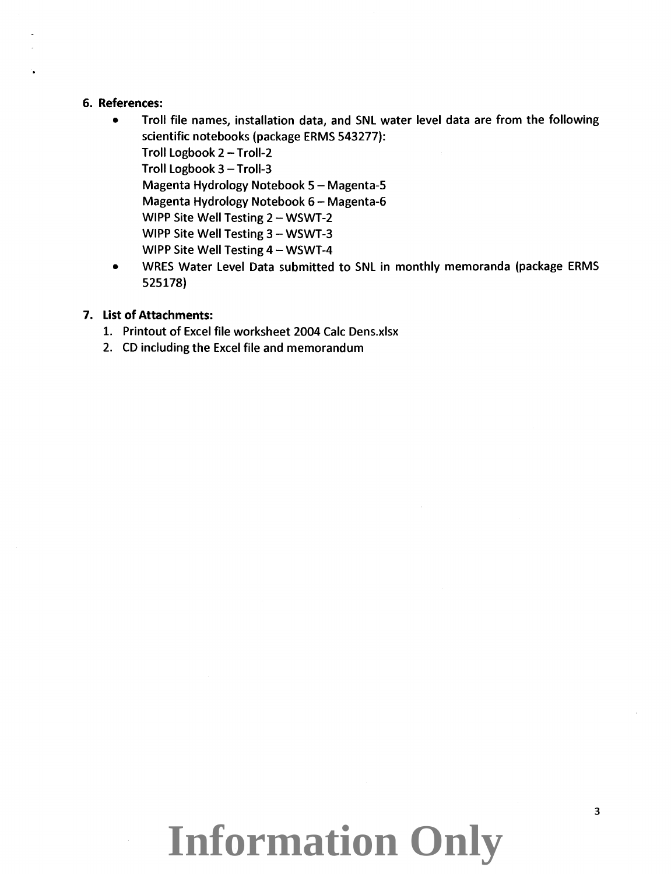### **6. References:**

- Troll file names, installation data, and SNl water level data are from the following scientific notebooks (package ERMS 543277): Troll logbook 2- Troll-2 Troll Logbook  $3 -$ Troll-3 Magenta Hydrology Notebook 5- Magenta-S Magenta Hydrology Notebook 6- Magenta-6 WIPP Site Well Testing 2 - WSWT-2 WIPP Site Well Testing 3 - WSWT-3 WIPP Site Well Testing 4 - WSWT-4
- WRES Water level Data submitted to SNl in monthly memoranda (package ERMS 525178)

### **7. List of Attachments:**

- 1. Printout of Excel file worksheet 2004 Calc Dens.xlsx
- 2. CD including the Excel file and memorandum

## **Information Only**